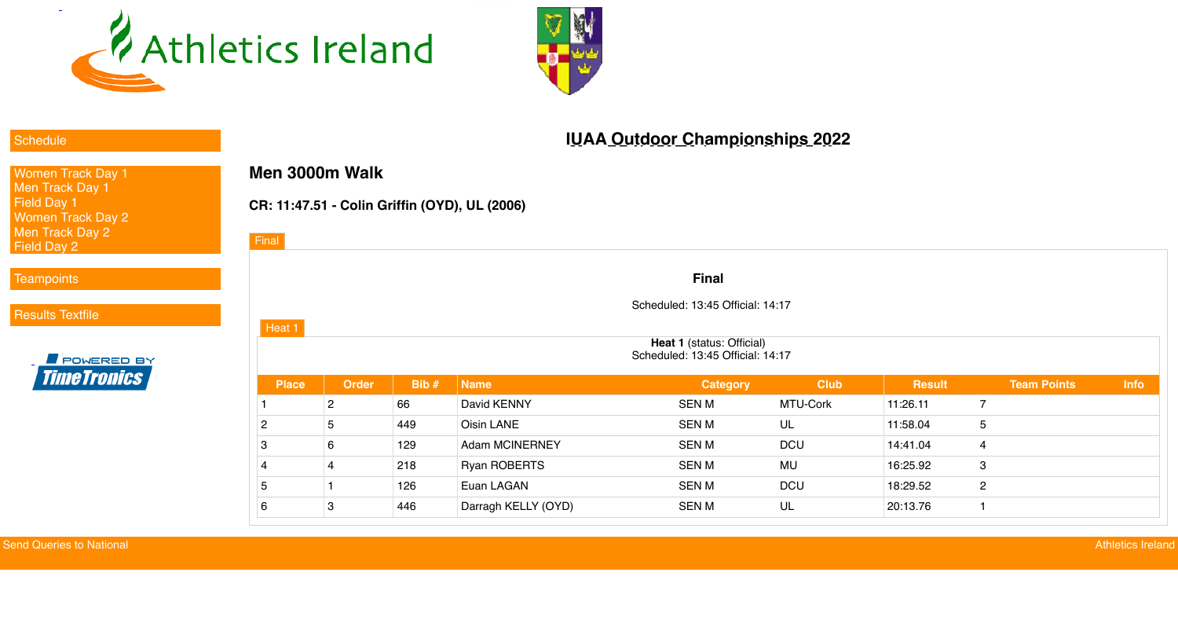



### **[Schedule](javascript:void();)**

[Women Track Day 1](javascript:void();) [Men Track Day 1](javascript:void();) [Field Day 1](javascript:void();) [Women Track Day 2](javascript:void();) [Men Track Day 2](javascript:void();) [Field Day 2](javascript:void();)

### [Teampoints](javascript:void();)

[Results Textfile](http://live.athleticsireland.ie/textfile.txt)



**Heat 1** (status: Official) Scheduled: 13:45 Official: 14:17

# **IUAA Outdoor Championships 2022**

## **Men 3000m Walk**

## **CR: 11:47.51 - Colin Griffin (OYD), UL (2006)**

### **Final**

Scheduled: 13:45 Official: 14:17

| <b>Place</b>    | <b>Order</b> | Bib# | <b>Name</b>           | <b>Category</b> | <b>Club</b> | <b>Result</b> | <b>Team Points</b> | <b>Info</b> |
|-----------------|--------------|------|-----------------------|-----------------|-------------|---------------|--------------------|-------------|
|                 | Q.           | 66   | David KENNY           | <b>SEN M</b>    | MTU-Cork    | 11:26.11      |                    |             |
| $\overline{2}$  | ხ            | 449  | <b>Oisin LANE</b>     | <b>SEN M</b>    | UL          | 11:58.04      | 5                  |             |
| $\mathbf{3}$    | 6            | 129  | <b>Adam MCINERNEY</b> | <b>SEN M</b>    | <b>DCU</b>  | 14:41.04      | 4                  |             |
| $\overline{4}$  |              | 218  | <b>Ryan ROBERTS</b>   | <b>SEN M</b>    | MU          | 16:25.92      | 3                  |             |
| 5               |              | 126  | Euan LAGAN            | <b>SEN M</b>    | <b>DCU</b>  | 18:29.52      | $\overline{2}$     |             |
| $6\overline{6}$ | 3            | 446  | Darragh KELLY (OYD)   | <b>SEN M</b>    | UL          | 20:13.76      |                    |             |

| <b>Final</b> |              |         |             |
|--------------|--------------|---------|-------------|
|              |              |         |             |
|              |              |         |             |
| Heat 1       |              |         |             |
|              |              |         |             |
| <b>Place</b> | <b>Order</b> | Bib $#$ | <b>Name</b> |